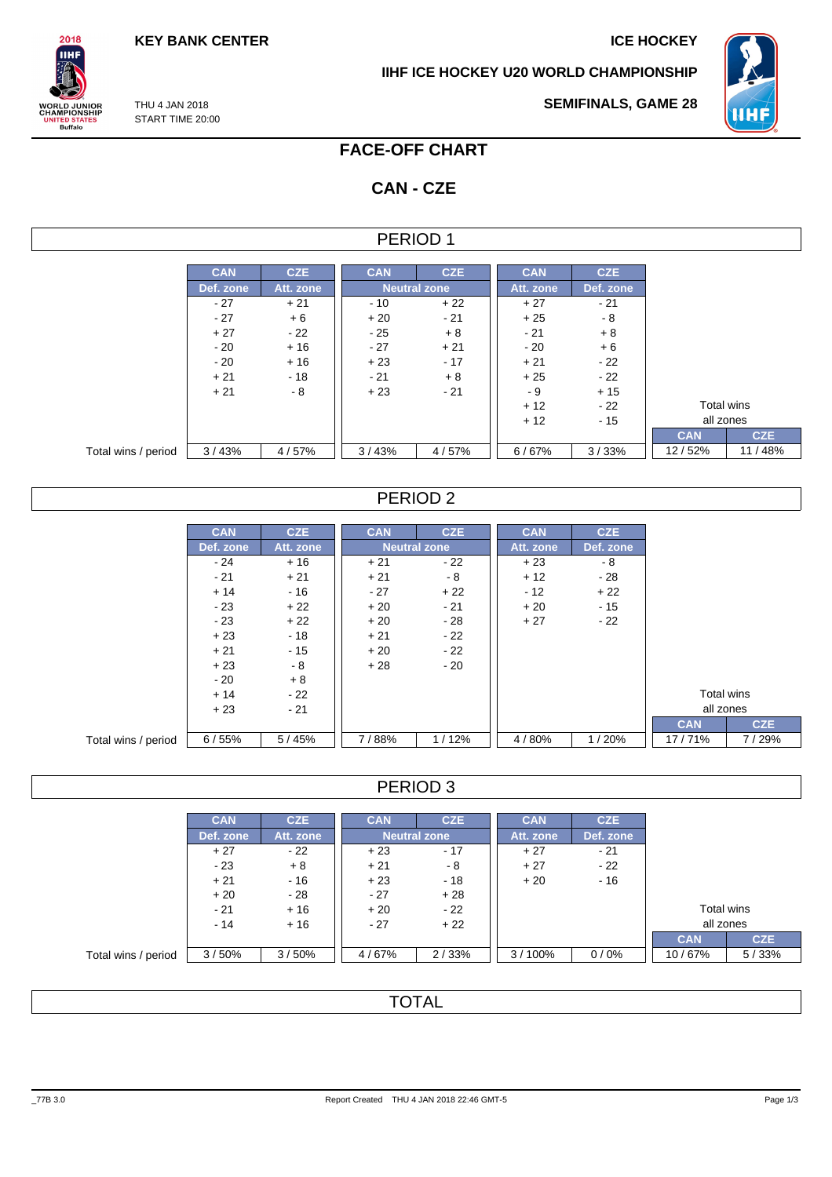THU 4 JAN 2018 START TIME 20:00

 $2018$ **IIHF** 

**ORLD JUNIOR**<br>HAMPIONSHIP

UNITED STATES<br>Buffalo

**IIHF ICE HOCKEY U20 WORLD CHAMPIONSHIP**



**SEMIFINALS, GAME 28**

# **FACE-OFF CHART**

# **CAN - CZE**

### PERIOD 1

|                     | <b>CAN</b> | <b>CZE</b> | <b>CAN</b> | <b>CZE</b>          | <b>CAN</b> | <b>CZE</b> |            |            |
|---------------------|------------|------------|------------|---------------------|------------|------------|------------|------------|
|                     | Def. zone  | Att. zone  |            | <b>Neutral zone</b> | Att. zone  | Def. zone  |            |            |
|                     | $-27$      | $+21$      | - 10       | $+22$               | $+27$      | - 21       |            |            |
|                     | $-27$      | $+6$       | $+20$      | $-21$               | $+25$      | - 8        |            |            |
|                     | $+27$      | $-22$      | $-25$      | $+8$                | $-21$      | $+8$       |            |            |
|                     | $-20$      | $+16$      | $-27$      | $+21$               | $-20$      | $+6$       |            |            |
|                     | $-20$      | $+16$      | $+23$      | $-17$               | $+21$      | - 22       |            |            |
|                     | $+21$      | $-18$      | $-21$      | $+8$                | $+25$      | $-22$      |            |            |
|                     | $+21$      | $-8$       | $+23$      | $-21$               | - 9        | $+15$      |            |            |
|                     |            |            |            |                     | $+12$      | - 22       | Total wins |            |
|                     |            |            |            |                     | $+12$      | $-15$      | all zones  |            |
|                     |            |            |            |                     |            |            | <b>CAN</b> | <b>CZE</b> |
| Total wins / period | 3/43%      | 4/57%      | 3/43%      | 4/57%               | 6/67%      | 3/33%      | 12/52%     | 11/48%     |

## PERIOD 2

|                     | <b>CAN</b> | <b>CZE</b> | <b>CAN</b> | <b>CZE</b>          | <b>CAN</b> | <b>CZE</b> |            |
|---------------------|------------|------------|------------|---------------------|------------|------------|------------|
|                     | Def. zone  | Att. zone  |            | <b>Neutral zone</b> | Att. zone  | Def. zone  |            |
|                     | $-24$      | $+16$      | $+21$      | $-22$               | $+23$      | - 8        |            |
|                     | $-21$      | $+21$      | $+21$      | - 8                 | $+12$      | $-28$      |            |
|                     | $+14$      | $-16$      | $-27$      | $+22$               | $-12$      | $+22$      |            |
|                     | $-23$      | $+22$      | $+20$      | $-21$               | $+20$      | $-15$      |            |
|                     | $-23$      | $+22$      | $+20$      | $-28$               | $+27$      | $-22$      |            |
|                     | $+23$      | $-18$      | $+21$      | $-22$               |            |            |            |
|                     | $+21$      | $-15$      | $+20$      | $-22$               |            |            |            |
|                     | $+23$      | - 8        | $+28$      | $-20$               |            |            |            |
|                     | $-20$      | $+8$       |            |                     |            |            |            |
|                     | $+14$      | - 22       |            |                     |            |            | Total wins |
|                     | $+23$      | $-21$      |            |                     |            |            |            |
|                     |            |            |            |                     |            |            | <b>CAN</b> |
| Total wins / period | 6/55%      | 5/45%      | 7/88%      | 1/12%               | 4/80%      | 1/20%      | 17/71%     |

## PERIOD 3

|                     | <b>CAN</b> | CZE.      | <b>CAN</b>     | <b>CZE</b>   | <b>CAN</b> | <b>CZE</b> |            |            |
|---------------------|------------|-----------|----------------|--------------|------------|------------|------------|------------|
|                     | Def. zone  | Att. zone |                | Neutral zone | Att. zone  | Def. zone  |            |            |
|                     | $+27$      | $-22$     | $+23$          | $-17$        | $+27$      | $-21$      |            |            |
|                     | $-23$      | $+8$      | $+21$          | - 8          | $+27$      | $-22$      |            |            |
|                     | $+21$      | $-16$     | $+23$          | - 18         | $+20$      | $-16$      |            |            |
|                     | $+20$      | - 28      | $-27$          | $+28$        |            |            |            |            |
|                     | $-21$      | $+16$     | $+20$          | $-22$        |            |            | Total wins |            |
|                     | $-14$      | $+16$     | $+22$<br>$-27$ |              |            |            | all zones  |            |
|                     |            |           |                |              |            |            | <b>CAN</b> | <b>CZE</b> |
| Total wins / period | 3/50%      | 3/50%     | 4/67%          | 2/33%        | 3/100%     | 0/0%       | 10/67%     | 5/33%      |

# **TOTAL**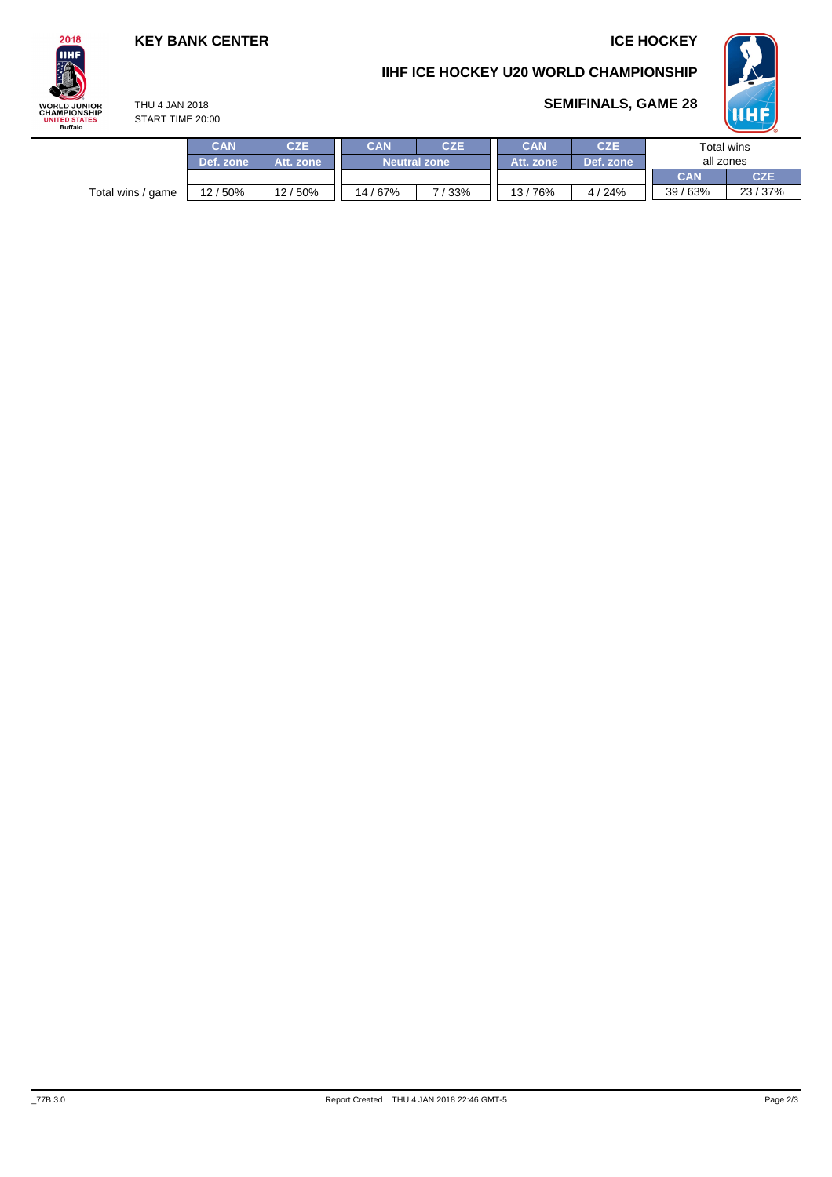## **KEY BANK CENTER ICE HOCKEY**

THU 4 JAN 2018



## **IIHF ICE HOCKEY U20 WORLD CHAMPIONSHIP**



**SEMIFINALS, GAME 28**

**CAN CZE** START TIME 20:00

|                   | CAN       | CZE       | CAN<br><b>CZE</b>   |       | CAN        | <b>CZE</b> | Total wins |            |
|-------------------|-----------|-----------|---------------------|-------|------------|------------|------------|------------|
|                   | Def. zone | Att. zone | <b>Neutral zone</b> |       | Att. zone. | Def. zone  | all zones  |            |
|                   |           |           |                     |       |            |            | <b>CAN</b> | <b>CZE</b> |
| Total wins / game | 12 / 50%  | 12/50%    | 14/67%              | 7/33% | 13/76%     | 4/24%      | 39/63%     | 23/37%     |